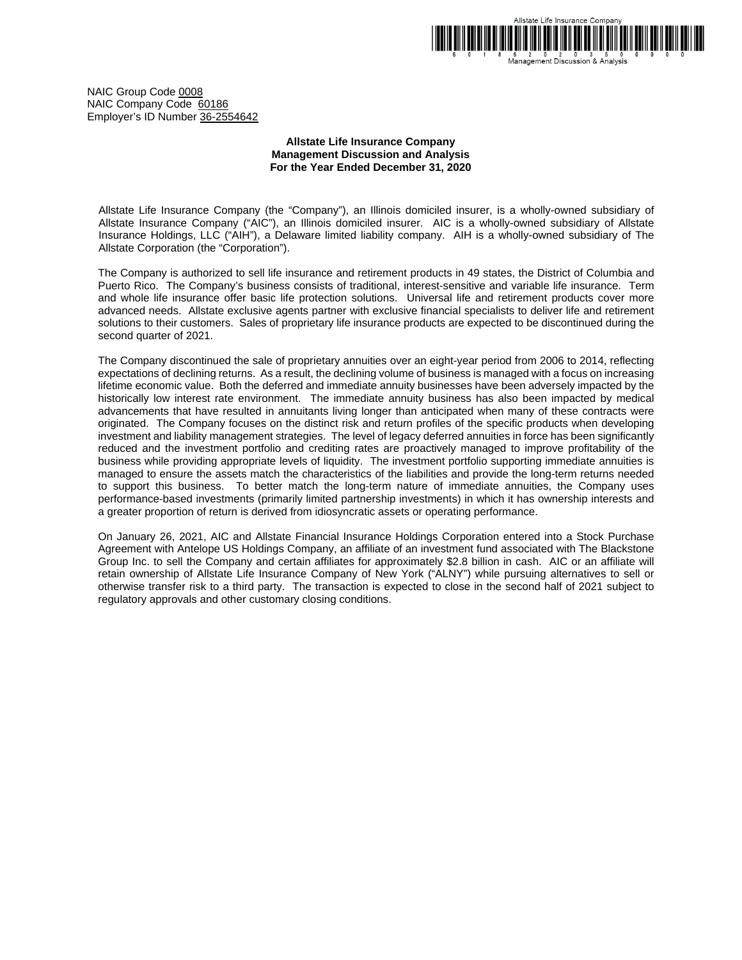

6 2 0 2 0 3 5 0<br>Management Discussion & Analysis

NAIC Group Code 0008 NAIC Company Code 60186 Employer's ID Number 36-2554642

# **Allstate Life Insurance Company Management Discussion and Analysis For the Year Ended December 31, 2020**

Allstate Life Insurance Company (the "Company"), an Illinois domiciled insurer, is a wholly-owned subsidiary of Allstate Insurance Company ("AIC"), an Illinois domiciled insurer. AIC is a wholly-owned subsidiary of Allstate Insurance Holdings, LLC ("AIH"), a Delaware limited liability company. AIH is a wholly-owned subsidiary of The Allstate Corporation (the "Corporation").

The Company is authorized to sell life insurance and retirement products in 49 states, the District of Columbia and Puerto Rico. The Company's business consists of traditional, interest-sensitive and variable life insurance. Term and whole life insurance offer basic life protection solutions. Universal life and retirement products cover more advanced needs. Allstate exclusive agents partner with exclusive financial specialists to deliver life and retirement solutions to their customers. Sales of proprietary life insurance products are expected to be discontinued during the second quarter of 2021.

The Company discontinued the sale of proprietary annuities over an eight-year period from 2006 to 2014, reflecting expectations of declining returns. As a result, the declining volume of business is managed with a focus on increasing lifetime economic value. Both the deferred and immediate annuity businesses have been adversely impacted by the historically low interest rate environment. The immediate annuity business has also been impacted by medical advancements that have resulted in annuitants living longer than anticipated when many of these contracts were originated. The Company focuses on the distinct risk and return profiles of the specific products when developing investment and liability management strategies. The level of legacy deferred annuities in force has been significantly reduced and the investment portfolio and crediting rates are proactively managed to improve profitability of the business while providing appropriate levels of liquidity. The investment portfolio supporting immediate annuities is managed to ensure the assets match the characteristics of the liabilities and provide the long-term returns needed to support this business. To better match the long-term nature of immediate annuities, the Company uses performance-based investments (primarily limited partnership investments) in which it has ownership interests and a greater proportion of return is derived from idiosyncratic assets or operating performance.

On January 26, 2021, AIC and Allstate Financial Insurance Holdings Corporation entered into a Stock Purchase Agreement with Antelope US Holdings Company, an affiliate of an investment fund associated with The Blackstone Group Inc. to sell the Company and certain affiliates for approximately \$2.8 billion in cash. AIC or an affiliate will retain ownership of Allstate Life Insurance Company of New York ("ALNY") while pursuing alternatives to sell or otherwise transfer risk to a third party. The transaction is expected to close in the second half of 2021 subject to regulatory approvals and other customary closing conditions.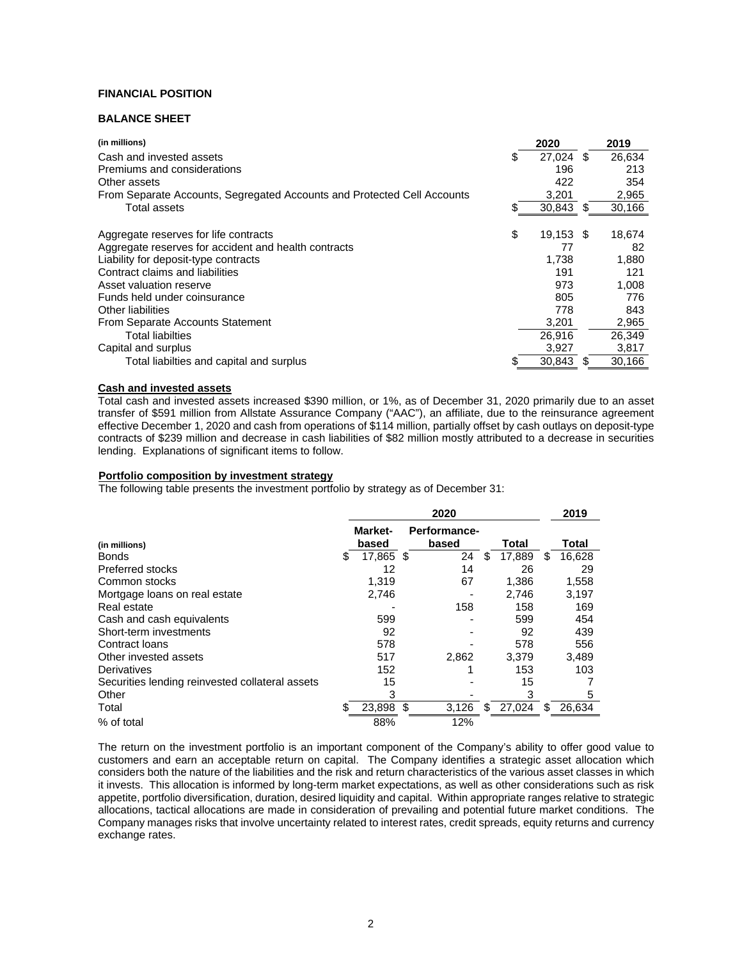# **FINANCIAL POSITION**

# **BALANCE SHEET**

| (in millions)                                                           |    | 2020      |   | 2019   |
|-------------------------------------------------------------------------|----|-----------|---|--------|
| Cash and invested assets                                                | S  | 27.024    | S | 26.634 |
| Premiums and considerations                                             |    | 196       |   | 213    |
| Other assets                                                            |    | 422       |   | 354    |
| From Separate Accounts, Segregated Accounts and Protected Cell Accounts |    | 3,201     |   | 2,965  |
| Total assets                                                            |    | 30,843    | S | 30,166 |
|                                                                         |    |           |   |        |
| Aggregate reserves for life contracts                                   | \$ | 19.153 \$ |   | 18.674 |
| Aggregate reserves for accident and health contracts                    |    | 77        |   | 82     |
| Liability for deposit-type contracts                                    |    | 1,738     |   | 1,880  |
| Contract claims and liabilities                                         |    | 191       |   | 121    |
| Asset valuation reserve                                                 |    | 973       |   | 1,008  |
| Funds held under coinsurance                                            |    | 805       |   | 776    |
| Other liabilities                                                       |    | 778       |   | 843    |
| From Separate Accounts Statement                                        |    | 3,201     |   | 2,965  |
| <b>Total liabilties</b>                                                 |    | 26.916    |   | 26.349 |
| Capital and surplus                                                     |    | 3,927     |   | 3,817  |
| Total liabilties and capital and surplus                                |    | 30,843    | S | 30,166 |

# **Cash and invested assets**

Total cash and invested assets increased \$390 million, or 1%, as of December 31, 2020 primarily due to an asset transfer of \$591 million from Allstate Assurance Company ("AAC"), an affiliate, due to the reinsurance agreement effective December 1, 2020 and cash from operations of \$114 million, partially offset by cash outlays on deposit-type contracts of \$239 million and decrease in cash liabilities of \$82 million mostly attributed to a decrease in securities lending. Explanations of significant items to follow.

## **Portfolio composition by investment strategy**

The following table presents the investment portfolio by strategy as of December 31:

|                                                 | 2020             |    |                       |     |        | 2019 |        |
|-------------------------------------------------|------------------|----|-----------------------|-----|--------|------|--------|
| (in millions)                                   | Market-<br>based |    | Performance-<br>based |     | Total  |      | Total  |
| Bonds                                           | \$<br>17,865 \$  |    | 24                    | \$. | 17,889 | \$.  | 16,628 |
| Preferred stocks                                | 12               |    | 14                    |     | 26     |      | 29     |
| Common stocks                                   | 1,319            |    | 67                    |     | 1,386  |      | 1,558  |
| Mortgage loans on real estate                   | 2,746            |    |                       |     | 2,746  |      | 3,197  |
| Real estate                                     |                  |    | 158                   |     | 158    |      | 169    |
| Cash and cash equivalents                       | 599              |    |                       |     | 599    |      | 454    |
| Short-term investments                          | 92               |    |                       |     | 92     |      | 439    |
| Contract Ioans                                  | 578              |    |                       |     | 578    |      | 556    |
| Other invested assets                           | 517              |    | 2.862                 |     | 3.379  |      | 3,489  |
| Derivatives                                     | 152              |    |                       |     | 153    |      | 103    |
| Securities lending reinvested collateral assets | 15               |    |                       |     | 15     |      |        |
| Other                                           | 3                |    |                       |     | 3      |      | 5      |
| Total                                           | \$<br>23,898     | \$ | 3,126                 | S   | 27,024 | S    | 26,634 |
| % of total                                      | 88%              |    | 12%                   |     |        |      |        |

The return on the investment portfolio is an important component of the Company's ability to offer good value to customers and earn an acceptable return on capital. The Company identifies a strategic asset allocation which considers both the nature of the liabilities and the risk and return characteristics of the various asset classes in which it invests. This allocation is informed by long-term market expectations, as well as other considerations such as risk appetite, portfolio diversification, duration, desired liquidity and capital. Within appropriate ranges relative to strategic allocations, tactical allocations are made in consideration of prevailing and potential future market conditions. The Company manages risks that involve uncertainty related to interest rates, credit spreads, equity returns and currency exchange rates.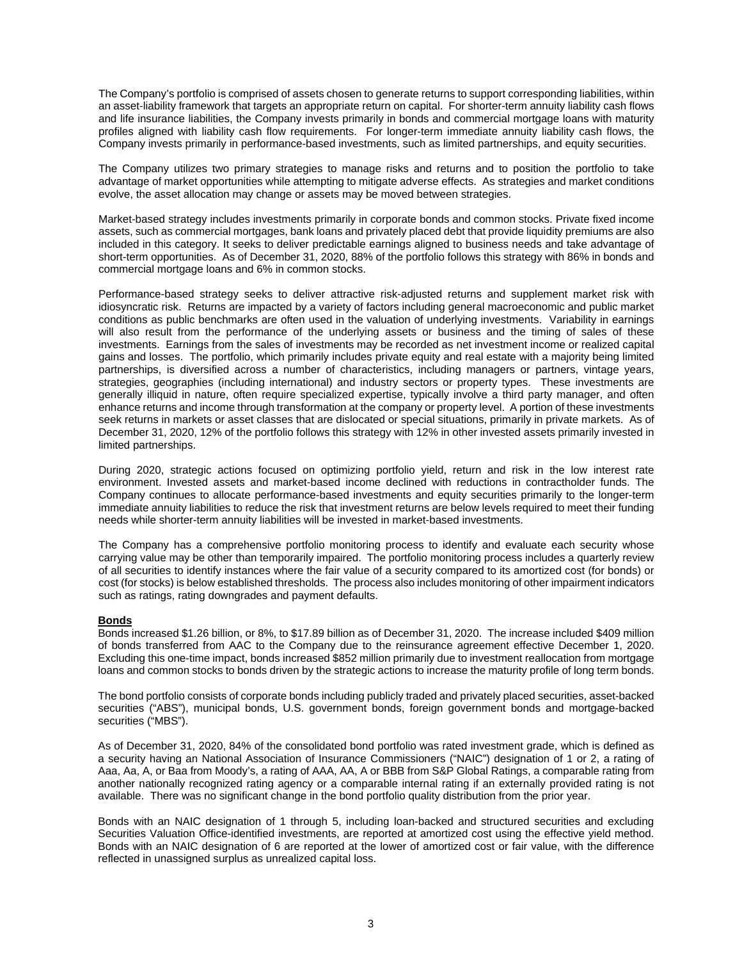The Company's portfolio is comprised of assets chosen to generate returns to support corresponding liabilities, within an asset-liability framework that targets an appropriate return on capital. For shorter-term annuity liability cash flows and life insurance liabilities, the Company invests primarily in bonds and commercial mortgage loans with maturity profiles aligned with liability cash flow requirements. For longer-term immediate annuity liability cash flows, the Company invests primarily in performance-based investments, such as limited partnerships, and equity securities.

The Company utilizes two primary strategies to manage risks and returns and to position the portfolio to take advantage of market opportunities while attempting to mitigate adverse effects. As strategies and market conditions evolve, the asset allocation may change or assets may be moved between strategies.

Market-based strategy includes investments primarily in corporate bonds and common stocks. Private fixed income assets, such as commercial mortgages, bank loans and privately placed debt that provide liquidity premiums are also included in this category. It seeks to deliver predictable earnings aligned to business needs and take advantage of short-term opportunities. As of December 31, 2020, 88% of the portfolio follows this strategy with 86% in bonds and commercial mortgage loans and 6% in common stocks.

Performance-based strategy seeks to deliver attractive risk-adjusted returns and supplement market risk with idiosyncratic risk. Returns are impacted by a variety of factors including general macroeconomic and public market conditions as public benchmarks are often used in the valuation of underlying investments. Variability in earnings will also result from the performance of the underlying assets or business and the timing of sales of these investments. Earnings from the sales of investments may be recorded as net investment income or realized capital gains and losses. The portfolio, which primarily includes private equity and real estate with a majority being limited partnerships, is diversified across a number of characteristics, including managers or partners, vintage years, strategies, geographies (including international) and industry sectors or property types. These investments are generally illiquid in nature, often require specialized expertise, typically involve a third party manager, and often enhance returns and income through transformation at the company or property level. A portion of these investments seek returns in markets or asset classes that are dislocated or special situations, primarily in private markets. As of December 31, 2020, 12% of the portfolio follows this strategy with 12% in other invested assets primarily invested in limited partnerships.

During 2020, strategic actions focused on optimizing portfolio yield, return and risk in the low interest rate environment. Invested assets and market-based income declined with reductions in contractholder funds. The Company continues to allocate performance-based investments and equity securities primarily to the longer-term immediate annuity liabilities to reduce the risk that investment returns are below levels required to meet their funding needs while shorter-term annuity liabilities will be invested in market-based investments.

The Company has a comprehensive portfolio monitoring process to identify and evaluate each security whose carrying value may be other than temporarily impaired. The portfolio monitoring process includes a quarterly review of all securities to identify instances where the fair value of a security compared to its amortized cost (for bonds) or cost (for stocks) is below established thresholds. The process also includes monitoring of other impairment indicators such as ratings, rating downgrades and payment defaults.

# **Bonds**

Bonds increased \$1.26 billion, or 8%, to \$17.89 billion as of December 31, 2020. The increase included \$409 million of bonds transferred from AAC to the Company due to the reinsurance agreement effective December 1, 2020. Excluding this one-time impact, bonds increased \$852 million primarily due to investment reallocation from mortgage loans and common stocks to bonds driven by the strategic actions to increase the maturity profile of long term bonds.

The bond portfolio consists of corporate bonds including publicly traded and privately placed securities, asset-backed securities ("ABS"), municipal bonds, U.S. government bonds, foreign government bonds and mortgage-backed securities ("MBS").

As of December 31, 2020, 84% of the consolidated bond portfolio was rated investment grade, which is defined as a security having an National Association of Insurance Commissioners ("NAIC") designation of 1 or 2, a rating of Aaa, Aa, A, or Baa from Moody's, a rating of AAA, AA, A or BBB from S&P Global Ratings, a comparable rating from another nationally recognized rating agency or a comparable internal rating if an externally provided rating is not available. There was no significant change in the bond portfolio quality distribution from the prior year.

Bonds with an NAIC designation of 1 through 5, including loan-backed and structured securities and excluding Securities Valuation Office-identified investments, are reported at amortized cost using the effective yield method. Bonds with an NAIC designation of 6 are reported at the lower of amortized cost or fair value, with the difference reflected in unassigned surplus as unrealized capital loss.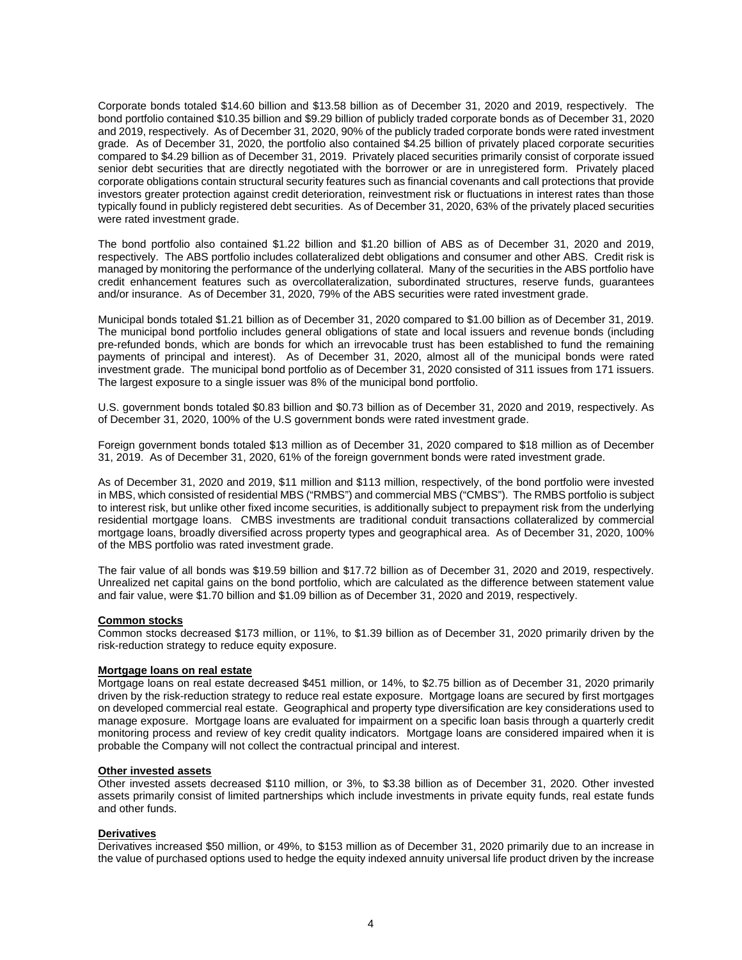Corporate bonds totaled \$14.60 billion and \$13.58 billion as of December 31, 2020 and 2019, respectively. The bond portfolio contained \$10.35 billion and \$9.29 billion of publicly traded corporate bonds as of December 31, 2020 and 2019, respectively. As of December 31, 2020, 90% of the publicly traded corporate bonds were rated investment grade. As of December 31, 2020, the portfolio also contained \$4.25 billion of privately placed corporate securities compared to \$4.29 billion as of December 31, 2019. Privately placed securities primarily consist of corporate issued senior debt securities that are directly negotiated with the borrower or are in unregistered form. Privately placed corporate obligations contain structural security features such as financial covenants and call protections that provide investors greater protection against credit deterioration, reinvestment risk or fluctuations in interest rates than those typically found in publicly registered debt securities. As of December 31, 2020, 63% of the privately placed securities were rated investment grade.

The bond portfolio also contained \$1.22 billion and \$1.20 billion of ABS as of December 31, 2020 and 2019, respectively. The ABS portfolio includes collateralized debt obligations and consumer and other ABS. Credit risk is managed by monitoring the performance of the underlying collateral. Many of the securities in the ABS portfolio have credit enhancement features such as overcollateralization, subordinated structures, reserve funds, guarantees and/or insurance. As of December 31, 2020, 79% of the ABS securities were rated investment grade.

Municipal bonds totaled \$1.21 billion as of December 31, 2020 compared to \$1.00 billion as of December 31, 2019. The municipal bond portfolio includes general obligations of state and local issuers and revenue bonds (including pre-refunded bonds, which are bonds for which an irrevocable trust has been established to fund the remaining payments of principal and interest). As of December 31, 2020, almost all of the municipal bonds were rated investment grade. The municipal bond portfolio as of December 31, 2020 consisted of 311 issues from 171 issuers. The largest exposure to a single issuer was 8% of the municipal bond portfolio.

U.S. government bonds totaled \$0.83 billion and \$0.73 billion as of December 31, 2020 and 2019, respectively. As of December 31, 2020, 100% of the U.S government bonds were rated investment grade.

Foreign government bonds totaled \$13 million as of December 31, 2020 compared to \$18 million as of December 31, 2019. As of December 31, 2020, 61% of the foreign government bonds were rated investment grade.

As of December 31, 2020 and 2019, \$11 million and \$113 million, respectively, of the bond portfolio were invested in MBS, which consisted of residential MBS ("RMBS") and commercial MBS ("CMBS"). The RMBS portfolio is subject to interest risk, but unlike other fixed income securities, is additionally subject to prepayment risk from the underlying residential mortgage loans. CMBS investments are traditional conduit transactions collateralized by commercial mortgage loans, broadly diversified across property types and geographical area. As of December 31, 2020, 100% of the MBS portfolio was rated investment grade.

The fair value of all bonds was \$19.59 billion and \$17.72 billion as of December 31, 2020 and 2019, respectively. Unrealized net capital gains on the bond portfolio, which are calculated as the difference between statement value and fair value, were \$1.70 billion and \$1.09 billion as of December 31, 2020 and 2019, respectively.

### **Common stocks**

Common stocks decreased \$173 million, or 11%, to \$1.39 billion as of December 31, 2020 primarily driven by the risk-reduction strategy to reduce equity exposure.

### **Mortgage loans on real estate**

Mortgage loans on real estate decreased \$451 million, or 14%, to \$2.75 billion as of December 31, 2020 primarily driven by the risk-reduction strategy to reduce real estate exposure. Mortgage loans are secured by first mortgages on developed commercial real estate. Geographical and property type diversification are key considerations used to manage exposure. Mortgage loans are evaluated for impairment on a specific loan basis through a quarterly credit monitoring process and review of key credit quality indicators. Mortgage loans are considered impaired when it is probable the Company will not collect the contractual principal and interest.

### **Other invested assets**

Other invested assets decreased \$110 million, or 3%, to \$3.38 billion as of December 31, 2020. Other invested assets primarily consist of limited partnerships which include investments in private equity funds, real estate funds and other funds.

## **Derivatives**

Derivatives increased \$50 million, or 49%, to \$153 million as of December 31, 2020 primarily due to an increase in the value of purchased options used to hedge the equity indexed annuity universal life product driven by the increase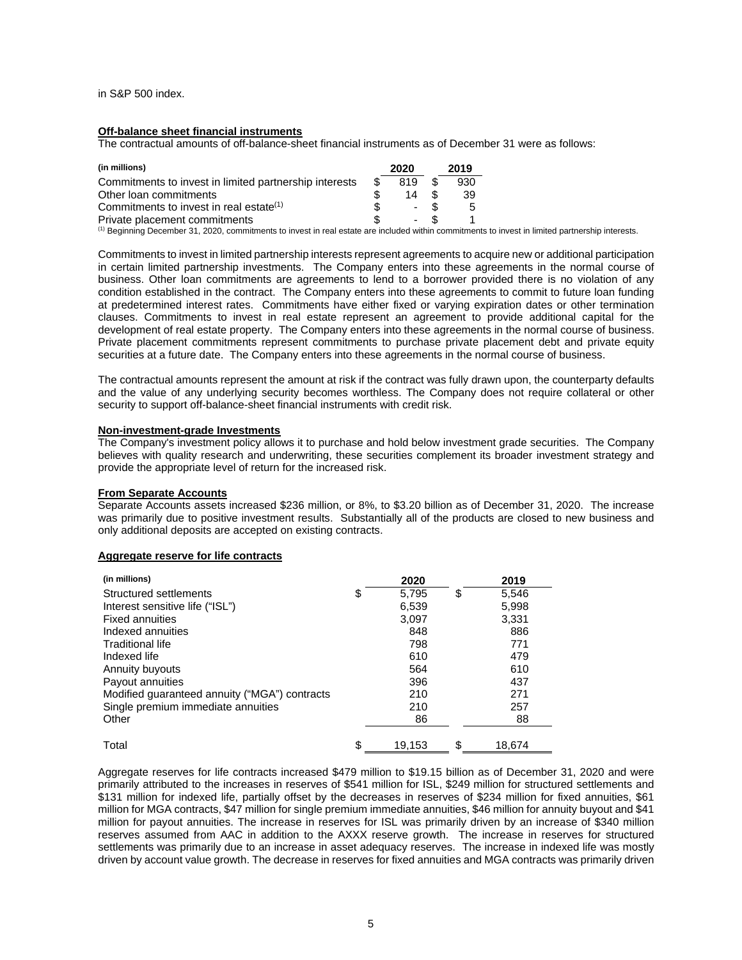in S&P 500 index.

# **Off-balance sheet financial instruments**

The contractual amounts of off-balance-sheet financial instruments as of December 31 were as follows:

| (in millions)                                                                                                                                   |     | 2020 | 2019 |  |
|-------------------------------------------------------------------------------------------------------------------------------------------------|-----|------|------|--|
| Commitments to invest in limited partnership interests                                                                                          | \$. | 819  | 930  |  |
| Other loan commitments                                                                                                                          |     | 14   | 39   |  |
| Commitments to invest in real estate <sup>(1)</sup>                                                                                             |     |      | 5    |  |
| Private placement commitments                                                                                                                   |     |      |      |  |
| $\mathcal{A}$ is the set of $\mathcal{A}$ and $\mathcal{A}$ is the set of $\mathcal{A}$ is the set of $\mathcal{A}$ is the set of $\mathcal{A}$ |     |      |      |  |

(1) Beginning December 31, 2020, commitments to invest in real estate are included within commitments to invest in limited partnership interests.

Commitments to invest in limited partnership interests represent agreements to acquire new or additional participation in certain limited partnership investments. The Company enters into these agreements in the normal course of business. Other loan commitments are agreements to lend to a borrower provided there is no violation of any condition established in the contract. The Company enters into these agreements to commit to future loan funding at predetermined interest rates. Commitments have either fixed or varying expiration dates or other termination clauses. Commitments to invest in real estate represent an agreement to provide additional capital for the development of real estate property. The Company enters into these agreements in the normal course of business. Private placement commitments represent commitments to purchase private placement debt and private equity securities at a future date. The Company enters into these agreements in the normal course of business.

The contractual amounts represent the amount at risk if the contract was fully drawn upon, the counterparty defaults and the value of any underlying security becomes worthless. The Company does not require collateral or other security to support off-balance-sheet financial instruments with credit risk.

## **Non-investment-grade Investments**

The Company's investment policy allows it to purchase and hold below investment grade securities. The Company believes with quality research and underwriting, these securities complement its broader investment strategy and provide the appropriate level of return for the increased risk.

### **From Separate Accounts**

Separate Accounts assets increased \$236 million, or 8%, to \$3.20 billion as of December 31, 2020. The increase was primarily due to positive investment results. Substantially all of the products are closed to new business and only additional deposits are accepted on existing contracts.

### **Aggregate reserve for life contracts**

| (in millions)                                 | 2020         | 2019         |
|-----------------------------------------------|--------------|--------------|
| Structured settlements                        | \$<br>5,795  | \$<br>5,546  |
| Interest sensitive life ("ISL")               | 6,539        | 5,998        |
| <b>Fixed annuities</b>                        | 3,097        | 3,331        |
| Indexed annuities                             | 848          | 886          |
| <b>Traditional life</b>                       | 798          | 771          |
| Indexed life                                  | 610          | 479          |
| Annuity buyouts                               | 564          | 610          |
| Payout annuities                              | 396          | 437          |
| Modified guaranteed annuity ("MGA") contracts | 210          | 271          |
| Single premium immediate annuities            | 210          | 257          |
| Other                                         | 86           | 88           |
| Total                                         | \$<br>19.153 | \$<br>18.674 |

Aggregate reserves for life contracts increased \$479 million to \$19.15 billion as of December 31, 2020 and were primarily attributed to the increases in reserves of \$541 million for ISL, \$249 million for structured settlements and \$131 million for indexed life, partially offset by the decreases in reserves of \$234 million for fixed annuities, \$61 million for MGA contracts, \$47 million for single premium immediate annuities, \$46 million for annuity buyout and \$41 million for payout annuities. The increase in reserves for ISL was primarily driven by an increase of \$340 million reserves assumed from AAC in addition to the AXXX reserve growth. The increase in reserves for structured settlements was primarily due to an increase in asset adequacy reserves. The increase in indexed life was mostly driven by account value growth. The decrease in reserves for fixed annuities and MGA contracts was primarily driven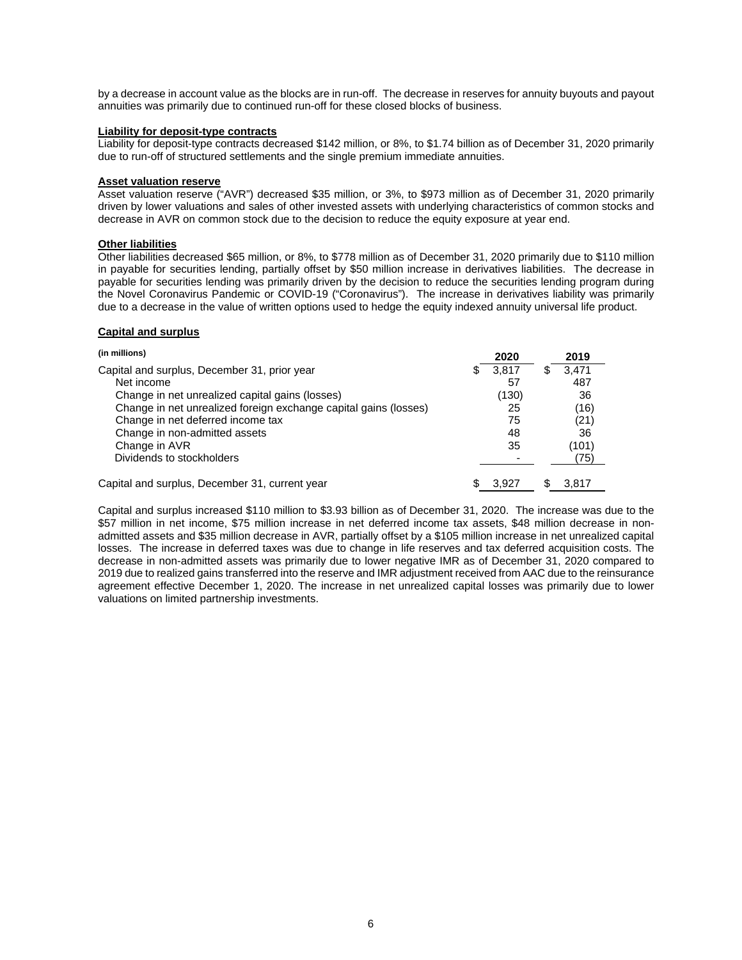by a decrease in account value as the blocks are in run-off. The decrease in reserves for annuity buyouts and payout annuities was primarily due to continued run-off for these closed blocks of business.

## **Liability for deposit-type contracts**

Liability for deposit-type contracts decreased \$142 million, or 8%, to \$1.74 billion as of December 31, 2020 primarily due to run-off of structured settlements and the single premium immediate annuities.

## **Asset valuation reserve**

Asset valuation reserve ("AVR") decreased \$35 million, or 3%, to \$973 million as of December 31, 2020 primarily driven by lower valuations and sales of other invested assets with underlying characteristics of common stocks and decrease in AVR on common stock due to the decision to reduce the equity exposure at year end.

# **Other liabilities**

Other liabilities decreased \$65 million, or 8%, to \$778 million as of December 31, 2020 primarily due to \$110 million in payable for securities lending, partially offset by \$50 million increase in derivatives liabilities. The decrease in payable for securities lending was primarily driven by the decision to reduce the securities lending program during the Novel Coronavirus Pandemic or COVID-19 ("Coronavirus"). The increase in derivatives liability was primarily due to a decrease in the value of written options used to hedge the equity indexed annuity universal life product.

## **Capital and surplus**

| (in millions)                                                    |    | 2020  |   | 2019  |
|------------------------------------------------------------------|----|-------|---|-------|
| Capital and surplus, December 31, prior year                     | S. | 3.817 | S | 3.471 |
| Net income                                                       |    | 57    |   | 487   |
| Change in net unrealized capital gains (losses)                  |    | (130) |   | 36    |
| Change in net unrealized foreign exchange capital gains (losses) |    | 25    |   | (16)  |
| Change in net deferred income tax                                |    | 75    |   | (21)  |
| Change in non-admitted assets                                    |    | 48    |   | 36    |
| Change in AVR                                                    |    | 35    |   | (101) |
| Dividends to stockholders                                        |    |       |   | (75)  |
| Capital and surplus, December 31, current year                   |    | 3.927 |   | 3.817 |

Capital and surplus increased \$110 million to \$3.93 billion as of December 31, 2020. The increase was due to the \$57 million in net income, \$75 million increase in net deferred income tax assets, \$48 million decrease in nonadmitted assets and \$35 million decrease in AVR, partially offset by a \$105 million increase in net unrealized capital losses. The increase in deferred taxes was due to change in life reserves and tax deferred acquisition costs. The decrease in non-admitted assets was primarily due to lower negative IMR as of December 31, 2020 compared to 2019 due to realized gains transferred into the reserve and IMR adjustment received from AAC due to the reinsurance agreement effective December 1, 2020. The increase in net unrealized capital losses was primarily due to lower valuations on limited partnership investments.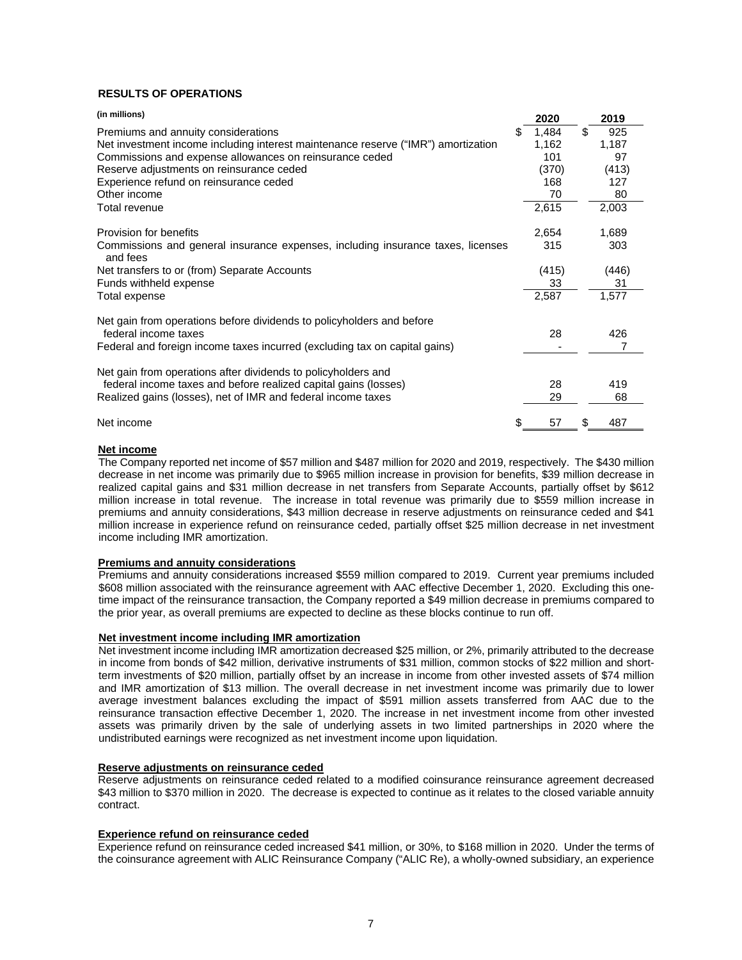# **RESULTS OF OPERATIONS**

| (in millions)                                                                               |   | 2020  | 2019      |
|---------------------------------------------------------------------------------------------|---|-------|-----------|
| Premiums and annuity considerations                                                         | S | 1,484 | \$<br>925 |
| Net investment income including interest maintenance reserve ("IMR") amortization           |   | 1,162 | 1,187     |
| Commissions and expense allowances on reinsurance ceded                                     |   | 101   | 97        |
| Reserve adjustments on reinsurance ceded                                                    |   | (370) | (413)     |
| Experience refund on reinsurance ceded                                                      |   | 168   | 127       |
| Other income                                                                                |   | 70    | 80        |
| Total revenue                                                                               |   | 2,615 | 2,003     |
| Provision for benefits                                                                      |   | 2,654 | 1,689     |
| Commissions and general insurance expenses, including insurance taxes, licenses<br>and fees |   | 315   | 303       |
| Net transfers to or (from) Separate Accounts                                                |   | (415) | (446)     |
| Funds withheld expense                                                                      |   | 33    | 31        |
| Total expense                                                                               |   | 2,587 | 1,577     |
| Net gain from operations before dividends to policyholders and before                       |   |       |           |
| federal income taxes                                                                        |   | 28    | 426       |
| Federal and foreign income taxes incurred (excluding tax on capital gains)                  |   |       |           |
| Net gain from operations after dividends to policyholders and                               |   |       |           |
| federal income taxes and before realized capital gains (losses)                             |   | 28    | 419       |
| Realized gains (losses), net of IMR and federal income taxes                                |   | 29    | 68        |
| Net income                                                                                  |   | 57    | 487       |

## **Net income**

The Company reported net income of \$57 million and \$487 million for 2020 and 2019, respectively. The \$430 million decrease in net income was primarily due to \$965 million increase in provision for benefits, \$39 million decrease in realized capital gains and \$31 million decrease in net transfers from Separate Accounts, partially offset by \$612 million increase in total revenue. The increase in total revenue was primarily due to \$559 million increase in premiums and annuity considerations, \$43 million decrease in reserve adjustments on reinsurance ceded and \$41 million increase in experience refund on reinsurance ceded, partially offset \$25 million decrease in net investment income including IMR amortization.

### **Premiums and annuity considerations**

Premiums and annuity considerations increased \$559 million compared to 2019. Current year premiums included \$608 million associated with the reinsurance agreement with AAC effective December 1, 2020. Excluding this onetime impact of the reinsurance transaction, the Company reported a \$49 million decrease in premiums compared to the prior year, as overall premiums are expected to decline as these blocks continue to run off.

## **Net investment income including IMR amortization**

Net investment income including IMR amortization decreased \$25 million, or 2%, primarily attributed to the decrease in income from bonds of \$42 million, derivative instruments of \$31 million, common stocks of \$22 million and shortterm investments of \$20 million, partially offset by an increase in income from other invested assets of \$74 million and IMR amortization of \$13 million. The overall decrease in net investment income was primarily due to lower average investment balances excluding the impact of \$591 million assets transferred from AAC due to the reinsurance transaction effective December 1, 2020. The increase in net investment income from other invested assets was primarily driven by the sale of underlying assets in two limited partnerships in 2020 where the undistributed earnings were recognized as net investment income upon liquidation.

### **Reserve adjustments on reinsurance ceded**

Reserve adjustments on reinsurance ceded related to a modified coinsurance reinsurance agreement decreased \$43 million to \$370 million in 2020. The decrease is expected to continue as it relates to the closed variable annuity contract.

# **Experience refund on reinsurance ceded**

Experience refund on reinsurance ceded increased \$41 million, or 30%, to \$168 million in 2020. Under the terms of the coinsurance agreement with ALIC Reinsurance Company ("ALIC Re), a wholly-owned subsidiary, an experience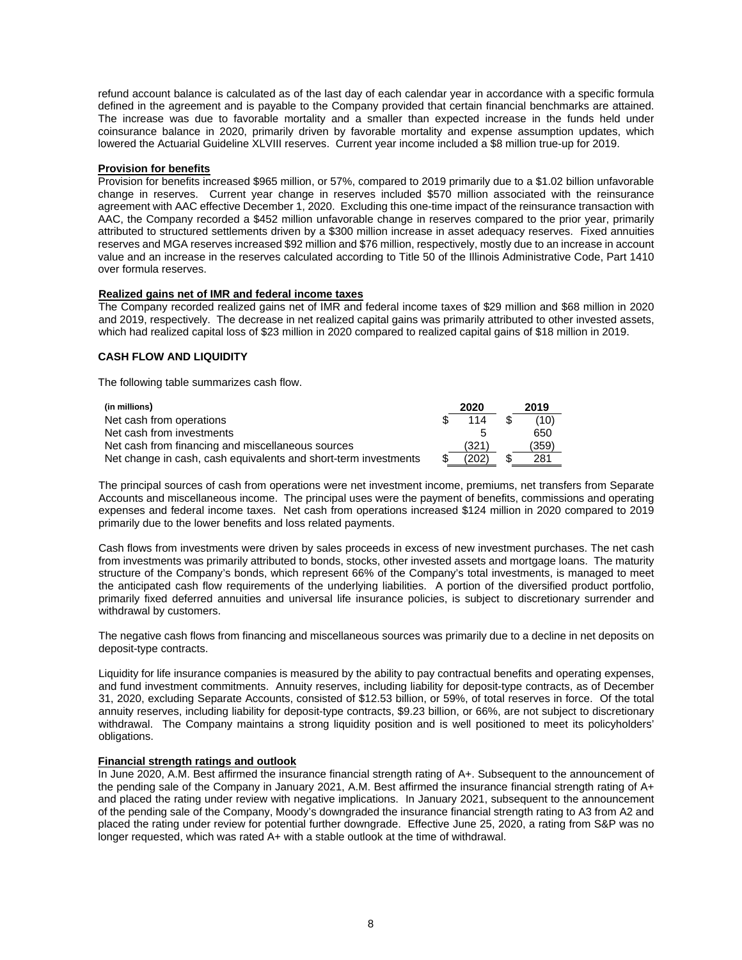refund account balance is calculated as of the last day of each calendar year in accordance with a specific formula defined in the agreement and is payable to the Company provided that certain financial benchmarks are attained. The increase was due to favorable mortality and a smaller than expected increase in the funds held under coinsurance balance in 2020, primarily driven by favorable mortality and expense assumption updates, which lowered the Actuarial Guideline XLVIII reserves. Current year income included a \$8 million true-up for 2019.

## **Provision for benefits**

Provision for benefits increased \$965 million, or 57%, compared to 2019 primarily due to a \$1.02 billion unfavorable change in reserves. Current year change in reserves included \$570 million associated with the reinsurance agreement with AAC effective December 1, 2020. Excluding this one-time impact of the reinsurance transaction with AAC, the Company recorded a \$452 million unfavorable change in reserves compared to the prior year, primarily attributed to structured settlements driven by a \$300 million increase in asset adequacy reserves. Fixed annuities reserves and MGA reserves increased \$92 million and \$76 million, respectively, mostly due to an increase in account value and an increase in the reserves calculated according to Title 50 of the Illinois Administrative Code, Part 1410 over formula reserves.

# **Realized gains net of IMR and federal income taxes**

The Company recorded realized gains net of IMR and federal income taxes of \$29 million and \$68 million in 2020 and 2019, respectively. The decrease in net realized capital gains was primarily attributed to other invested assets, which had realized capital loss of \$23 million in 2020 compared to realized capital gains of \$18 million in 2019.

# **CASH FLOW AND LIQUIDITY**

The following table summarizes cash flow.

| (in millions)                                                   | 2020  | 2019  |
|-----------------------------------------------------------------|-------|-------|
| Net cash from operations                                        | 114   | (10)  |
| Net cash from investments                                       |       | 650   |
| Net cash from financing and miscellaneous sources               | (321) | (359) |
| Net change in cash, cash equivalents and short-term investments | (202) | 281   |

The principal sources of cash from operations were net investment income, premiums, net transfers from Separate Accounts and miscellaneous income. The principal uses were the payment of benefits, commissions and operating expenses and federal income taxes. Net cash from operations increased \$124 million in 2020 compared to 2019 primarily due to the lower benefits and loss related payments.

Cash flows from investments were driven by sales proceeds in excess of new investment purchases. The net cash from investments was primarily attributed to bonds, stocks, other invested assets and mortgage loans. The maturity structure of the Company's bonds, which represent 66% of the Company's total investments, is managed to meet the anticipated cash flow requirements of the underlying liabilities. A portion of the diversified product portfolio, primarily fixed deferred annuities and universal life insurance policies, is subject to discretionary surrender and withdrawal by customers.

The negative cash flows from financing and miscellaneous sources was primarily due to a decline in net deposits on deposit-type contracts.

Liquidity for life insurance companies is measured by the ability to pay contractual benefits and operating expenses, and fund investment commitments. Annuity reserves, including liability for deposit-type contracts, as of December 31, 2020, excluding Separate Accounts, consisted of \$12.53 billion, or 59%, of total reserves in force. Of the total annuity reserves, including liability for deposit-type contracts, \$9.23 billion, or 66%, are not subject to discretionary withdrawal. The Company maintains a strong liquidity position and is well positioned to meet its policyholders' obligations.

## **Financial strength ratings and outlook**

In June 2020, A.M. Best affirmed the insurance financial strength rating of A+. Subsequent to the announcement of the pending sale of the Company in January 2021, A.M. Best affirmed the insurance financial strength rating of A+ and placed the rating under review with negative implications. In January 2021, subsequent to the announcement of the pending sale of the Company, Moody's downgraded the insurance financial strength rating to A3 from A2 and placed the rating under review for potential further downgrade. Effective June 25, 2020, a rating from S&P was no longer requested, which was rated A+ with a stable outlook at the time of withdrawal.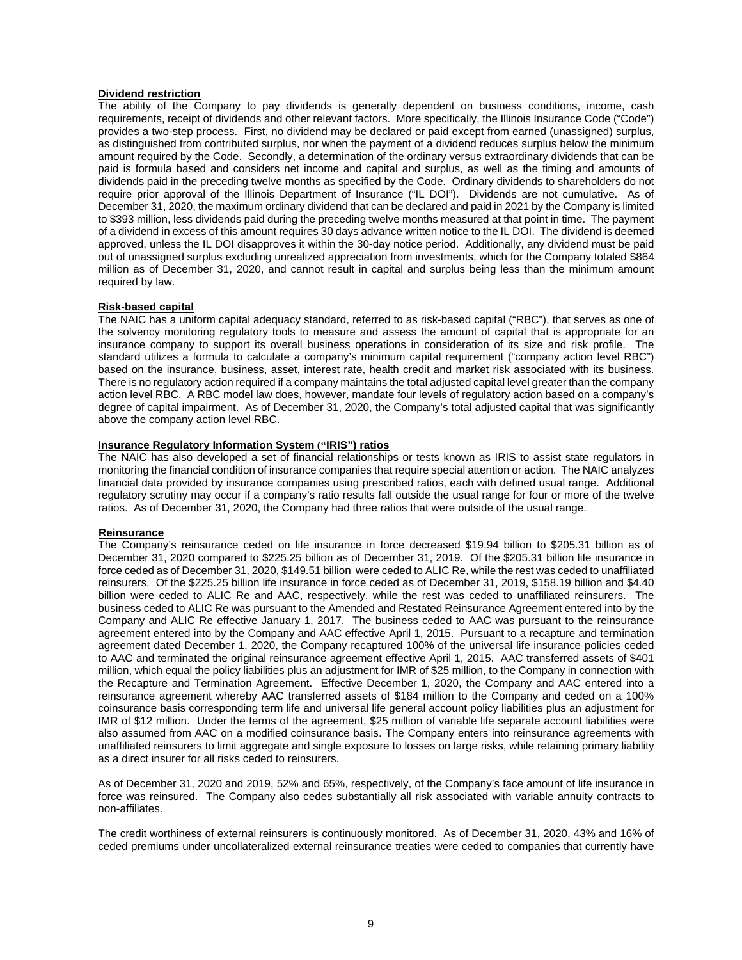# **Dividend restriction**

The ability of the Company to pay dividends is generally dependent on business conditions, income, cash requirements, receipt of dividends and other relevant factors. More specifically, the Illinois Insurance Code ("Code") provides a two-step process. First, no dividend may be declared or paid except from earned (unassigned) surplus, as distinguished from contributed surplus, nor when the payment of a dividend reduces surplus below the minimum amount required by the Code. Secondly, a determination of the ordinary versus extraordinary dividends that can be paid is formula based and considers net income and capital and surplus, as well as the timing and amounts of dividends paid in the preceding twelve months as specified by the Code. Ordinary dividends to shareholders do not require prior approval of the Illinois Department of Insurance ("IL DOI"). Dividends are not cumulative. As of December 31, 2020, the maximum ordinary dividend that can be declared and paid in 2021 by the Company is limited to \$393 million, less dividends paid during the preceding twelve months measured at that point in time. The payment of a dividend in excess of this amount requires 30 days advance written notice to the IL DOI. The dividend is deemed approved, unless the IL DOI disapproves it within the 30-day notice period. Additionally, any dividend must be paid out of unassigned surplus excluding unrealized appreciation from investments, which for the Company totaled \$864 million as of December 31, 2020, and cannot result in capital and surplus being less than the minimum amount required by law.

# **Risk-based capital**

The NAIC has a uniform capital adequacy standard, referred to as risk-based capital ("RBC"), that serves as one of the solvency monitoring regulatory tools to measure and assess the amount of capital that is appropriate for an insurance company to support its overall business operations in consideration of its size and risk profile. The standard utilizes a formula to calculate a company's minimum capital requirement ("company action level RBC") based on the insurance, business, asset, interest rate, health credit and market risk associated with its business. There is no regulatory action required if a company maintains the total adjusted capital level greater than the company action level RBC. A RBC model law does, however, mandate four levels of regulatory action based on a company's degree of capital impairment. As of December 31, 2020, the Company's total adjusted capital that was significantly above the company action level RBC.

# **Insurance Regulatory Information System ("IRIS") ratios**

The NAIC has also developed a set of financial relationships or tests known as IRIS to assist state regulators in monitoring the financial condition of insurance companies that require special attention or action. The NAIC analyzes financial data provided by insurance companies using prescribed ratios, each with defined usual range. Additional regulatory scrutiny may occur if a company's ratio results fall outside the usual range for four or more of the twelve ratios. As of December 31, 2020, the Company had three ratios that were outside of the usual range.

# **Reinsurance**

The Company's reinsurance ceded on life insurance in force decreased \$19.94 billion to \$205.31 billion as of December 31, 2020 compared to \$225.25 billion as of December 31, 2019. Of the \$205.31 billion life insurance in force ceded as of December 31, 2020, \$149.51 billion were ceded to ALIC Re, while the rest was ceded to unaffiliated reinsurers. Of the \$225.25 billion life insurance in force ceded as of December 31, 2019, \$158.19 billion and \$4.40 billion were ceded to ALIC Re and AAC, respectively, while the rest was ceded to unaffiliated reinsurers. The business ceded to ALIC Re was pursuant to the Amended and Restated Reinsurance Agreement entered into by the Company and ALIC Re effective January 1, 2017. The business ceded to AAC was pursuant to the reinsurance agreement entered into by the Company and AAC effective April 1, 2015. Pursuant to a recapture and termination agreement dated December 1, 2020, the Company recaptured 100% of the universal life insurance policies ceded to AAC and terminated the original reinsurance agreement effective April 1, 2015. AAC transferred assets of \$401 million, which equal the policy liabilities plus an adjustment for IMR of \$25 million, to the Company in connection with the Recapture and Termination Agreement. Effective December 1, 2020, the Company and AAC entered into a reinsurance agreement whereby AAC transferred assets of \$184 million to the Company and ceded on a 100% coinsurance basis corresponding term life and universal life general account policy liabilities plus an adjustment for IMR of \$12 million. Under the terms of the agreement, \$25 million of variable life separate account liabilities were also assumed from AAC on a modified coinsurance basis. The Company enters into reinsurance agreements with unaffiliated reinsurers to limit aggregate and single exposure to losses on large risks, while retaining primary liability as a direct insurer for all risks ceded to reinsurers.

As of December 31, 2020 and 2019, 52% and 65%, respectively, of the Company's face amount of life insurance in force was reinsured. The Company also cedes substantially all risk associated with variable annuity contracts to non-affiliates.

The credit worthiness of external reinsurers is continuously monitored. As of December 31, 2020, 43% and 16% of ceded premiums under uncollateralized external reinsurance treaties were ceded to companies that currently have